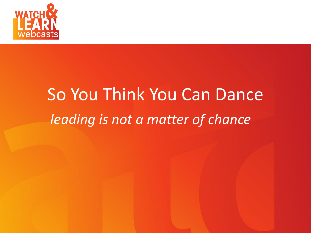

# So You Think You Can Dance *<i>leading is not a matter of chance*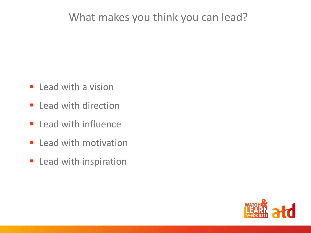#### What makes you think you can lead?

- **E** Lead with a vision
- **E** Lead with direction
- **E** Lead with influence
- **E** Lead with motivation
- **E** Lead with inspiration

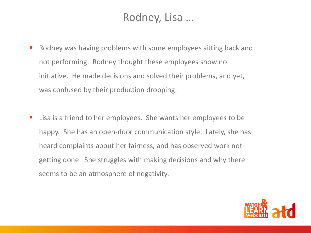## Rodney, Lisa …

- Rodney was having problems with some employees sitting back and not performing. Rodney thought these employees show no initiative. He made decisions and solved their problems, and yet, was confused by their production dropping.
- Lisa is a friend to her employees. She wants her employees to be happy. She has an open-door communication style. Lately, she has heard complaints about her fairness, and has observed work not getting done. She struggles with making decisions and why there seems to be an atmosphere of negativity.

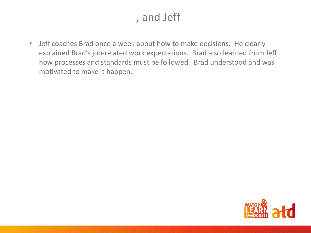# , and Jeff

• Jeff coaches Brad once a week about how to make decisions. He clearly explained Brad's job-related work expectations. Brad also learned from Jeff how processes and standards must be followed. Brad understood and was motivated to make it happen.

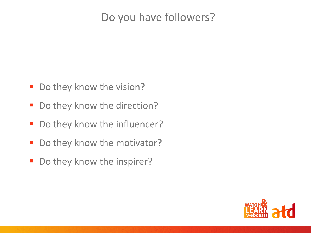## Do you have followers?

- Do they know the vision?
- Do they know the direction?
- Do they know the influencer?
- Do they know the motivator?
- Do they know the inspirer?

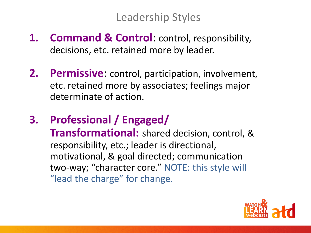## Leadership Styles

- **1. Command & Control**: control, responsibility, decisions, etc. retained more by leader.
- **2. Permissive**: control, participation, involvement, etc. retained more by associates; feelings major determinate of action.
- **3. Professional / Engaged/**

**Transformational:** shared decision, control, & responsibility, etc.; leader is directional, motivational, & goal directed; communication two-way; "character core." NOTE: this style will "lead the charge" for change.

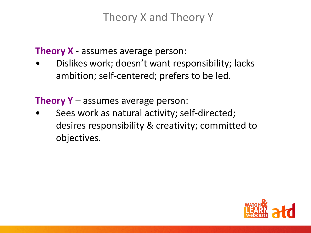# Theory X and Theory Y

**Theory X** - assumes average person:

• Dislikes work; doesn't want responsibility; lacks ambition; self-centered; prefers to be led.

**Theory Y** – assumes average person:

Sees work as natural activity; self-directed; desires responsibility & creativity; committed to objectives.

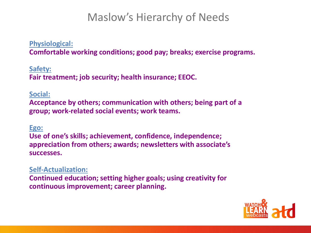#### Maslow's Hierarchy of Needs

#### **Physiological:**

**Comfortable working conditions; good pay; breaks; exercise programs.**

**Safety: Fair treatment; job security; health insurance; EEOC.**

#### **Social:**

**Acceptance by others; communication with others; being part of a group; work-related social events; work teams.**

#### **Ego:**

**Use of one's skills; achievement, confidence, independence; appreciation from others; awards; newsletters with associate's successes.**

**Self-Actualization: Continued education; setting higher goals; using creativity for continuous improvement; career planning.**

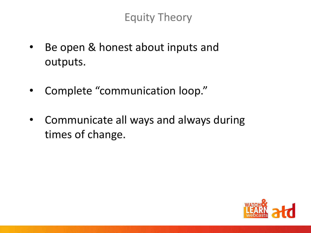Equity Theory

- Be open & honest about inputs and outputs.
- Complete "communication loop."
- Communicate all ways and always during times of change.

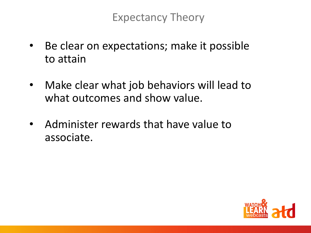Expectancy Theory

- Be clear on expectations; make it possible to attain
- Make clear what job behaviors will lead to what outcomes and show value.
- Administer rewards that have value to associate.

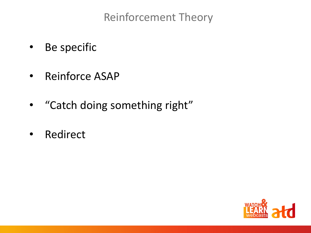Reinforcement Theory

- Be specific
- Reinforce ASAP
- "Catch doing something right"
- Redirect

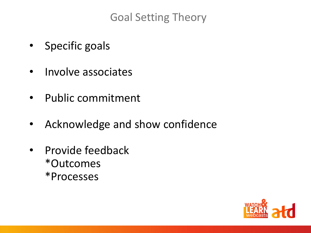Goal Setting Theory

- Specific goals
- Involve associates
- Public commitment
- Acknowledge and show confidence
- Provide feedback \*Outcomes \*Processes